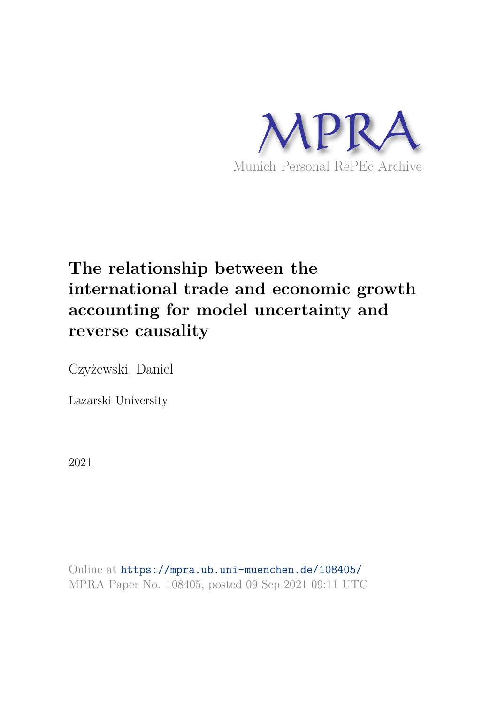

## **The relationship between the international trade and economic growth accounting for model uncertainty and reverse causality**

Czyżewski, Daniel

Lazarski University

2021

Online at https://mpra.ub.uni-muenchen.de/108405/ MPRA Paper No. 108405, posted 09 Sep 2021 09:11 UTC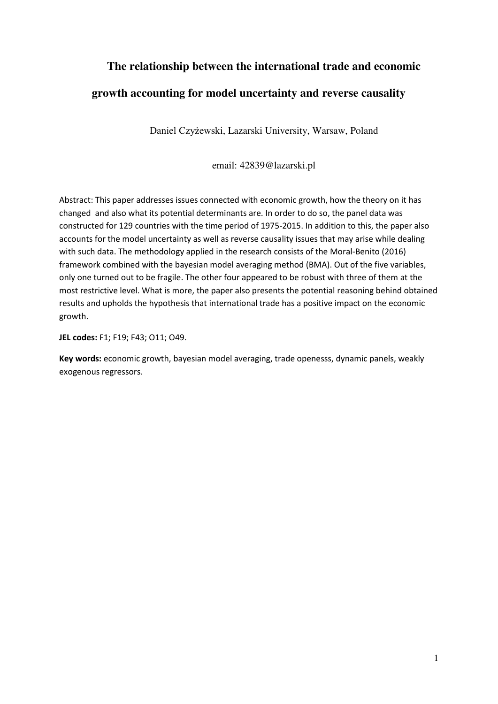# **The relationship between the international trade and economic**

### **growth accounting for model uncertainty and reverse causality**

Daniel Czyżewski, Lazarski University, Warsaw, Poland

email: 42839@lazarski.pl

Abstract: This paper addresses issues connected with economic growth, how the theory on it has changed and also what its potential determinants are. In order to do so, the panel data was constructed for 129 countries with the time period of 1975-2015. In addition to this, the paper also accounts for the model uncertainty as well as reverse causality issues that may arise while dealing with such data. The methodology applied in the research consists of the Moral-Benito (2016) framework combined with the bayesian model averaging method (BMA). Out of the five variables, only one turned out to be fragile. The other four appeared to be robust with three of them at the most restrictive level. What is more, the paper also presents the potential reasoning behind obtained results and upholds the hypothesis that international trade has a positive impact on the economic growth.

**JEL codes:** F1; F19; F43; O11; O49.

**Key words:** economic growth, bayesian model averaging, trade openesss, dynamic panels, weakly exogenous regressors.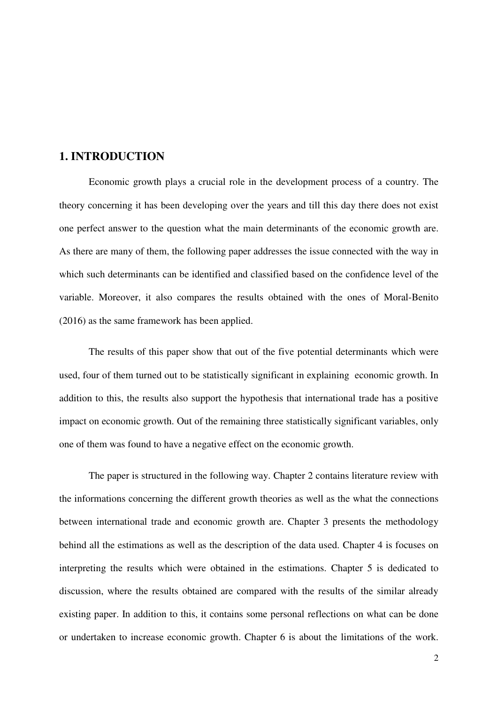#### **1. INTRODUCTION**

 Economic growth plays a crucial role in the development process of a country. The theory concerning it has been developing over the years and till this day there does not exist one perfect answer to the question what the main determinants of the economic growth are. As there are many of them, the following paper addresses the issue connected with the way in which such determinants can be identified and classified based on the confidence level of the variable. Moreover, it also compares the results obtained with the ones of Moral-Benito (2016) as the same framework has been applied.

 The results of this paper show that out of the five potential determinants which were used, four of them turned out to be statistically significant in explaining economic growth. In addition to this, the results also support the hypothesis that international trade has a positive impact on economic growth. Out of the remaining three statistically significant variables, only one of them was found to have a negative effect on the economic growth.

 The paper is structured in the following way. Chapter 2 contains literature review with the informations concerning the different growth theories as well as the what the connections between international trade and economic growth are. Chapter 3 presents the methodology behind all the estimations as well as the description of the data used. Chapter 4 is focuses on interpreting the results which were obtained in the estimations. Chapter 5 is dedicated to discussion, where the results obtained are compared with the results of the similar already existing paper. In addition to this, it contains some personal reflections on what can be done or undertaken to increase economic growth. Chapter 6 is about the limitations of the work.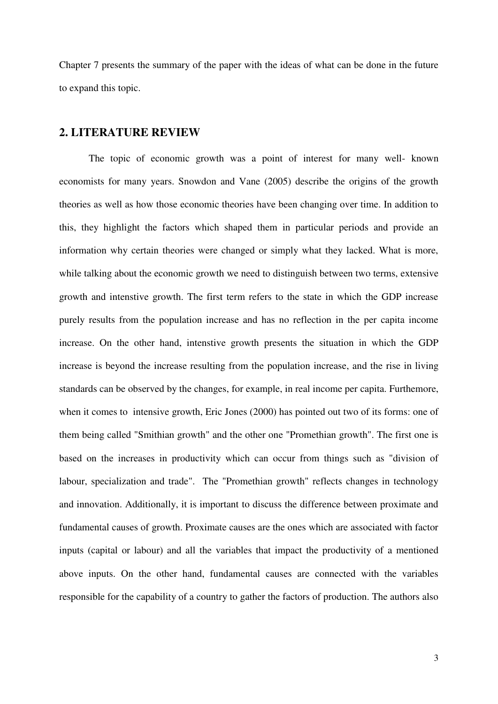Chapter 7 presents the summary of the paper with the ideas of what can be done in the future to expand this topic.

#### **2. LITERATURE REVIEW**

 The topic of economic growth was a point of interest for many well- known economists for many years. Snowdon and Vane (2005) describe the origins of the growth theories as well as how those economic theories have been changing over time. In addition to this, they highlight the factors which shaped them in particular periods and provide an information why certain theories were changed or simply what they lacked. What is more, while talking about the economic growth we need to distinguish between two terms, extensive growth and intenstive growth. The first term refers to the state in which the GDP increase purely results from the population increase and has no reflection in the per capita income increase. On the other hand, intenstive growth presents the situation in which the GDP increase is beyond the increase resulting from the population increase, and the rise in living standards can be observed by the changes, for example, in real income per capita. Furthemore, when it comes to intensive growth, Eric Jones (2000) has pointed out two of its forms: one of them being called "Smithian growth" and the other one "Promethian growth". The first one is based on the increases in productivity which can occur from things such as "division of labour, specialization and trade". The "Promethian growth" reflects changes in technology and innovation. Additionally, it is important to discuss the difference between proximate and fundamental causes of growth. Proximate causes are the ones which are associated with factor inputs (capital or labour) and all the variables that impact the productivity of a mentioned above inputs. On the other hand, fundamental causes are connected with the variables responsible for the capability of a country to gather the factors of production. The authors also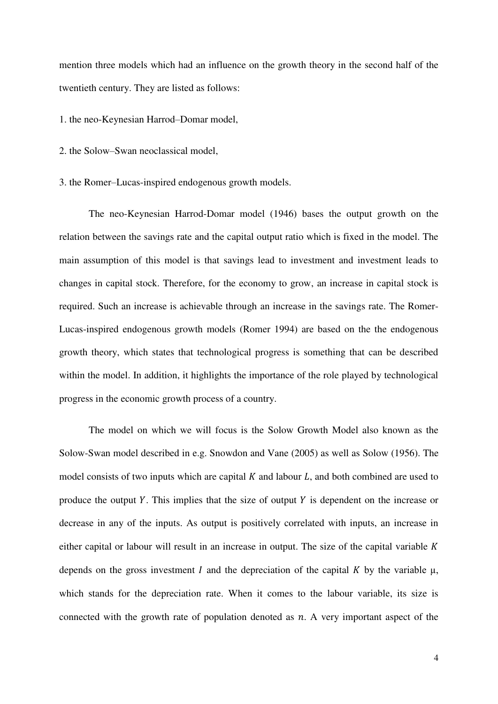mention three models which had an influence on the growth theory in the second half of the twentieth century. They are listed as follows:

1. the neo-Keynesian Harrod–Domar model,

- 2. the Solow–Swan neoclassical model,
- 3. the Romer–Lucas-inspired endogenous growth models.

 The neo-Keynesian Harrod-Domar model (1946) bases the output growth on the relation between the savings rate and the capital output ratio which is fixed in the model. The main assumption of this model is that savings lead to investment and investment leads to changes in capital stock. Therefore, for the economy to grow, an increase in capital stock is required. Such an increase is achievable through an increase in the savings rate. The Romer-Lucas-inspired endogenous growth models (Romer 1994) are based on the the endogenous growth theory, which states that technological progress is something that can be described within the model. In addition, it highlights the importance of the role played by technological progress in the economic growth process of a country.

 The model on which we will focus is the Solow Growth Model also known as the Solow-Swan model described in e.g. Snowdon and Vane (2005) as well as Solow (1956). The model consists of two inputs which are capital  $K$  and labour  $L$ , and both combined are used to produce the output Y. This implies that the size of output Y is dependent on the increase or decrease in any of the inputs. As output is positively correlated with inputs, an increase in either capital or labour will result in an increase in output. The size of the capital variable  $K$ depends on the gross investment I and the depreciation of the capital K by the variable  $\mu$ , which stands for the depreciation rate. When it comes to the labour variable, its size is connected with the growth rate of population denoted as  $n$ . A very important aspect of the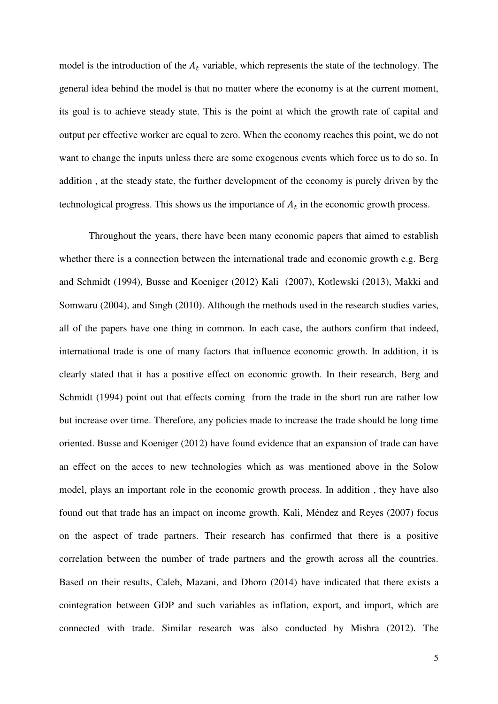model is the introduction of the  $A_t$  variable, which represents the state of the technology. The general idea behind the model is that no matter where the economy is at the current moment, its goal is to achieve steady state. This is the point at which the growth rate of capital and output per effective worker are equal to zero. When the economy reaches this point, we do not want to change the inputs unless there are some exogenous events which force us to do so. In addition , at the steady state, the further development of the economy is purely driven by the technological progress. This shows us the importance of  $A_t$  in the economic growth process.

 Throughout the years, there have been many economic papers that aimed to establish whether there is a connection between the international trade and economic growth e.g. Berg and Schmidt (1994), Busse and Koeniger (2012) Kali (2007), Kotlewski (2013), Makki and Somwaru (2004), and Singh (2010). Although the methods used in the research studies varies, all of the papers have one thing in common. In each case, the authors confirm that indeed, international trade is one of many factors that influence economic growth. In addition, it is clearly stated that it has a positive effect on economic growth. In their research, Berg and Schmidt (1994) point out that effects coming from the trade in the short run are rather low but increase over time. Therefore, any policies made to increase the trade should be long time oriented. Busse and Koeniger (2012) have found evidence that an expansion of trade can have an effect on the acces to new technologies which as was mentioned above in the Solow model, plays an important role in the economic growth process. In addition , they have also found out that trade has an impact on income growth. Kali, Méndez and Reyes (2007) focus on the aspect of trade partners. Their research has confirmed that there is a positive correlation between the number of trade partners and the growth across all the countries. Based on their results, Caleb, Mazani, and Dhoro (2014) have indicated that there exists a cointegration between GDP and such variables as inflation, export, and import, which are connected with trade. Similar research was also conducted by Mishra (2012). The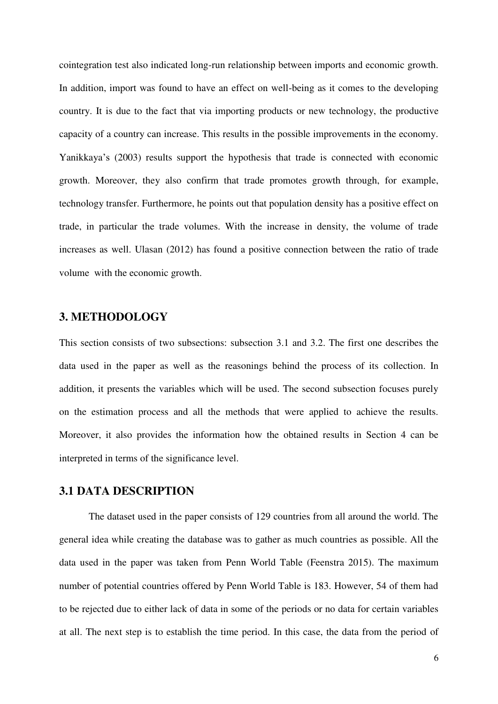cointegration test also indicated long-run relationship between imports and economic growth. In addition, import was found to have an effect on well-being as it comes to the developing country. It is due to the fact that via importing products or new technology, the productive capacity of a country can increase. This results in the possible improvements in the economy. Yanikkaya's (2003) results support the hypothesis that trade is connected with economic growth. Moreover, they also confirm that trade promotes growth through, for example, technology transfer. Furthermore, he points out that population density has a positive effect on trade, in particular the trade volumes. With the increase in density, the volume of trade increases as well. Ulasan (2012) has found a positive connection between the ratio of trade volume with the economic growth.

#### **3. METHODOLOGY**

This section consists of two subsections: subsection 3.1 and 3.2. The first one describes the data used in the paper as well as the reasonings behind the process of its collection. In addition, it presents the variables which will be used. The second subsection focuses purely on the estimation process and all the methods that were applied to achieve the results. Moreover, it also provides the information how the obtained results in Section 4 can be interpreted in terms of the significance level.

#### **3.1 DATA DESCRIPTION**

 The dataset used in the paper consists of 129 countries from all around the world. The general idea while creating the database was to gather as much countries as possible. All the data used in the paper was taken from Penn World Table (Feenstra 2015). The maximum number of potential countries offered by Penn World Table is 183. However, 54 of them had to be rejected due to either lack of data in some of the periods or no data for certain variables at all. The next step is to establish the time period. In this case, the data from the period of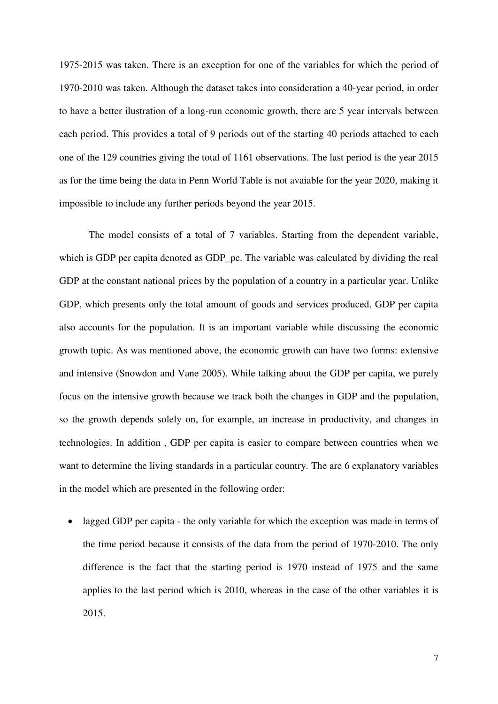1975-2015 was taken. There is an exception for one of the variables for which the period of 1970-2010 was taken. Although the dataset takes into consideration a 40-year period, in order to have a better ilustration of a long-run economic growth, there are 5 year intervals between each period. This provides a total of 9 periods out of the starting 40 periods attached to each one of the 129 countries giving the total of 1161 observations. The last period is the year 2015 as for the time being the data in Penn World Table is not avaiable for the year 2020, making it impossible to include any further periods beyond the year 2015.

 The model consists of a total of 7 variables. Starting from the dependent variable, which is GDP per capita denoted as GDP\_pc. The variable was calculated by dividing the real GDP at the constant national prices by the population of a country in a particular year. Unlike GDP, which presents only the total amount of goods and services produced, GDP per capita also accounts for the population. It is an important variable while discussing the economic growth topic. As was mentioned above, the economic growth can have two forms: extensive and intensive (Snowdon and Vane 2005). While talking about the GDP per capita, we purely focus on the intensive growth because we track both the changes in GDP and the population, so the growth depends solely on, for example, an increase in productivity, and changes in technologies. In addition , GDP per capita is easier to compare between countries when we want to determine the living standards in a particular country. The are 6 explanatory variables in the model which are presented in the following order:

• lagged GDP per capita - the only variable for which the exception was made in terms of the time period because it consists of the data from the period of 1970-2010. The only difference is the fact that the starting period is 1970 instead of 1975 and the same applies to the last period which is 2010, whereas in the case of the other variables it is 2015.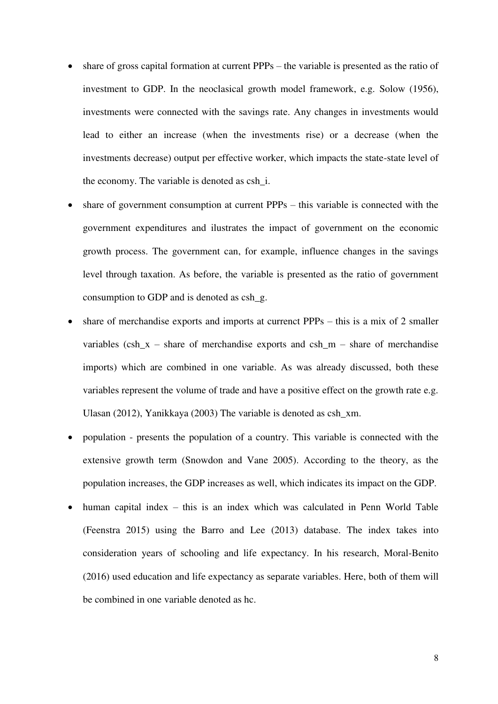- share of gross capital formation at current PPPs the variable is presented as the ratio of investment to GDP. In the neoclasical growth model framework, e.g. Solow (1956), investments were connected with the savings rate. Any changes in investments would lead to either an increase (when the investments rise) or a decrease (when the investments decrease) output per effective worker, which impacts the state-state level of the economy. The variable is denoted as csh\_i.
- share of government consumption at current PPPs this variable is connected with the government expenditures and ilustrates the impact of government on the economic growth process. The government can, for example, influence changes in the savings level through taxation. As before, the variable is presented as the ratio of government consumption to GDP and is denoted as csh\_g.
- share of merchandise exports and imports at currenct PPPs this is a mix of 2 smaller variables  $(\cosh x - \text{share of merchandise exports and csh_m - share of merchandise})$ imports) which are combined in one variable. As was already discussed, both these variables represent the volume of trade and have a positive effect on the growth rate e.g. Ulasan (2012), Yanikkaya (2003) The variable is denoted as csh\_xm.
- population presents the population of a country. This variable is connected with the extensive growth term (Snowdon and Vane 2005). According to the theory, as the population increases, the GDP increases as well, which indicates its impact on the GDP.
- human capital index this is an index which was calculated in Penn World Table (Feenstra 2015) using the Barro and Lee (2013) database. The index takes into consideration years of schooling and life expectancy. In his research, Moral-Benito (2016) used education and life expectancy as separate variables. Here, both of them will be combined in one variable denoted as hc.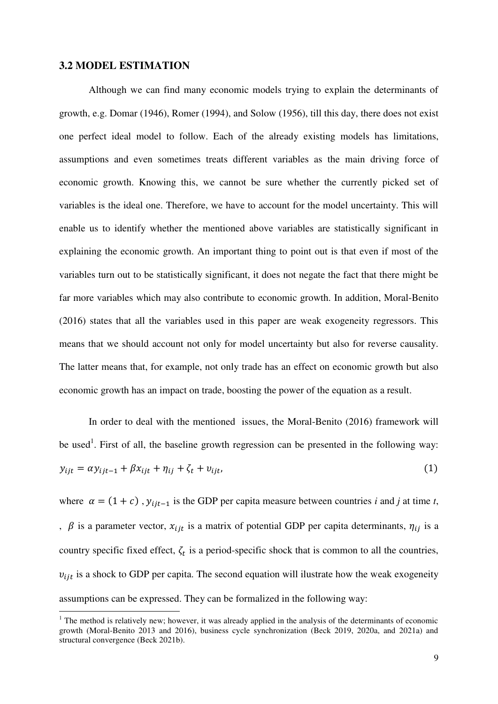#### **3.2 MODEL ESTIMATION**

<u>.</u>

 Although we can find many economic models trying to explain the determinants of growth, e.g. Domar (1946), Romer (1994), and Solow (1956), till this day, there does not exist one perfect ideal model to follow. Each of the already existing models has limitations, assumptions and even sometimes treats different variables as the main driving force of economic growth. Knowing this, we cannot be sure whether the currently picked set of variables is the ideal one. Therefore, we have to account for the model uncertainty. This will enable us to identify whether the mentioned above variables are statistically significant in explaining the economic growth. An important thing to point out is that even if most of the variables turn out to be statistically significant, it does not negate the fact that there might be far more variables which may also contribute to economic growth. In addition, Moral-Benito (2016) states that all the variables used in this paper are weak exogeneity regressors. This means that we should account not only for model uncertainty but also for reverse causality. The latter means that, for example, not only trade has an effect on economic growth but also economic growth has an impact on trade, boosting the power of the equation as a result.

 In order to deal with the mentioned issues, the Moral-Benito (2016) framework will be used<sup>1</sup>. First of all, the baseline growth regression can be presented in the following way:  $y_{ijt} = \alpha y_{ijt-1} + \beta x_{ijt} + \eta_{ij} + \zeta_t + v_{ijt}$  $(1)$ 

where  $\alpha = (1 + c)$ ,  $y_{ijt-1}$  is the GDP per capita measure between countries *i* and *j* at time *t*, ,  $\beta$  is a parameter vector,  $x_{ijt}$  is a matrix of potential GDP per capita determinants,  $\eta_{ij}$  is a country specific fixed effect,  $\zeta_t$  is a period-specific shock that is common to all the countries,  $v_{iit}$  is a shock to GDP per capita. The second equation will ilustrate how the weak exogeneity assumptions can be expressed. They can be formalized in the following way:

 $<sup>1</sup>$  The method is relatively new; however, it was already applied in the analysis of the determinants of economic</sup> growth (Moral-Benito 2013 and 2016), business cycle synchronization (Beck 2019, 2020a, and 2021a) and structural convergence (Beck 2021b).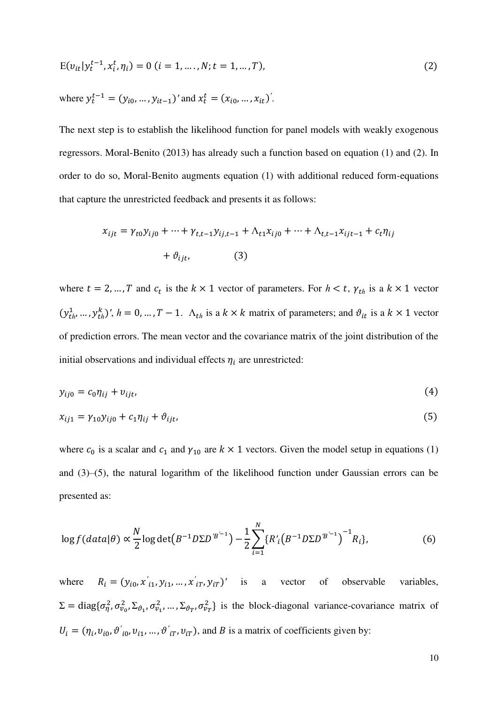$$
E(v_{it}|y_t^{t-1}, x_i^t, \eta_i) = 0 \ (i = 1, \dots, N; t = 1, \dots, T), \tag{2}
$$

where 
$$
y_t^{t-1} = (y_{i0}, ..., y_{it-1})'
$$
 and  $x_t^t = (x_{i0}, ..., x_{it})'$ .

The next step is to establish the likelihood function for panel models with weakly exogenous regressors. Moral-Benito (2013) has already such a function based on equation (1) and (2). In order to do so, Moral-Benito augments equation (1) with additional reduced form-equations that capture the unrestricted feedback and presents it as follows:

$$
x_{ijt} = \gamma_{t0} y_{ij0} + \dots + \gamma_{t,t-1} y_{ij,t-1} + \Lambda_{t1} x_{ij0} + \dots + \Lambda_{t,t-1} x_{ijt-1} + c_t \eta_{ij}
$$
  
+  $\vartheta_{ijt}$ , (3)

where  $t = 2, ..., T$  and  $c_t$  is the  $k \times 1$  vector of parameters. For  $h < t$ ,  $\gamma_{th}$  is a  $k \times 1$  vector  $(y_{th}^1, ..., y_{th}^k)'$ ,  $h = 0, ..., T - 1$ .  $\Lambda_{th}$  is a  $k \times k$  matrix of parameters; and  $\vartheta_{it}$  is a  $k \times 1$  vector of prediction errors. The mean vector and the covariance matrix of the joint distribution of the initial observations and individual effects  $\eta_i$  are unrestricted:

$$
y_{ij0} = c_0 \eta_{ij} + v_{ijt},\tag{4}
$$

$$
x_{ij1} = \gamma_{10} y_{ij0} + c_1 \eta_{ij} + \vartheta_{ijt},
$$
\n(5)

where  $c_0$  is a scalar and  $c_1$  and  $\gamma_{10}$  are  $k \times 1$  vectors. Given the model setup in equations (1) and (3)–(5), the natural logarithm of the likelihood function under Gaussian errors can be presented as:

$$
\log f(data|\theta) \propto \frac{N}{2} \log \det(B^{-1} D \Sigma D^{B^{-1}}) - \frac{1}{2} \sum_{i=1}^{N} \{R'(B^{-1} D \Sigma D^{B^{-1}})^{-1} R_i\},\tag{6}
$$

where  $R_i = (y_{i0}, x'_{i1}, y_{i1}, ..., x'_{iT}, y_{iT})'$  is a vector of observable variables,  $\Sigma = \text{diag}\{\sigma_{\eta}^2, \sigma_{v_0}^2, \Sigma_{\vartheta_1}, \sigma_{v_1}^2, \dots, \Sigma_{\vartheta_T}, \sigma_{v_T}^2\}$  is the block-diagonal variance-covariance matrix of  $U_i = (\eta_i, v_{i0}, \vartheta'_{i0}, v_{i1}, \dots, \vartheta'_{iT}, v_{iT})$ , and B is a matrix of coefficients given by: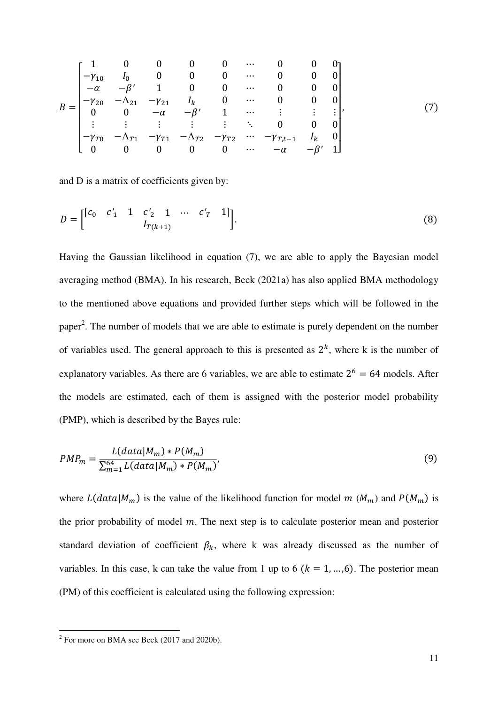$$
B = \begin{bmatrix} 1 & 0 & 0 & 0 & 0 & \cdots & 0 & 0 & 0 \\ -\gamma_{10} & I_0 & 0 & 0 & 0 & \cdots & 0 & 0 & 0 \\ -\alpha & -\beta' & 1 & 0 & 0 & \cdots & 0 & 0 & 0 \\ -\gamma_{20} & -\Lambda_{21} & -\gamma_{21} & I_k & 0 & \cdots & 0 & 0 & 0 \\ 0 & 0 & -\alpha & -\beta' & 1 & \cdots & \vdots & \vdots & \vdots \\ \vdots & \vdots & \vdots & \vdots & \vdots & \ddots & 0 & 0 & 0 \\ -\gamma_{T0} & -\Lambda_{T1} & -\gamma_{T1} & -\Lambda_{T2} & -\gamma_{T2} & \cdots & -\gamma_{T,t-1} & I_k & 0 \\ 0 & 0 & 0 & 0 & 0 & \cdots & -\alpha & -\beta' & 1 \end{bmatrix},
$$
(7)

and D is a matrix of coefficients given by:

$$
D = \begin{bmatrix} [c_0 & c'_1 & 1 & c'_2 & 1 & \cdots & c'_T & 1] \\ & & I_{T(k+1)} & & & \end{bmatrix}.
$$
 (8)

Having the Gaussian likelihood in equation (7), we are able to apply the Bayesian model averaging method (BMA). In his research, Beck (2021a) has also applied BMA methodology to the mentioned above equations and provided further steps which will be followed in the paper<sup>2</sup>. The number of models that we are able to estimate is purely dependent on the number of variables used. The general approach to this is presented as  $2<sup>k</sup>$ , where k is the number of explanatory variables. As there are 6 variables, we are able to estimate  $2^6 = 64$  models. After the models are estimated, each of them is assigned with the posterior model probability (PMP), which is described by the Bayes rule:

$$
PMP_m = \frac{L(data|M_m) * P(M_m)}{\sum_{m=1}^{64} L(data|M_m) * P(M_m)},
$$
\n(9)

where  $L(data|M_m)$  is the value of the likelihood function for model  $m ( M_m )$  and  $P(M_m )$  is the prior probability of model  $m$ . The next step is to calculate posterior mean and posterior standard deviation of coefficient  $\beta_k$ , where k was already discussed as the number of variables. In this case, k can take the value from 1 up to 6  $(k = 1, \ldots, 6)$ . The posterior mean (PM) of this coefficient is calculated using the following expression:

<sup>&</sup>lt;sup>2</sup> For more on BMA see Beck (2017 and 2020b).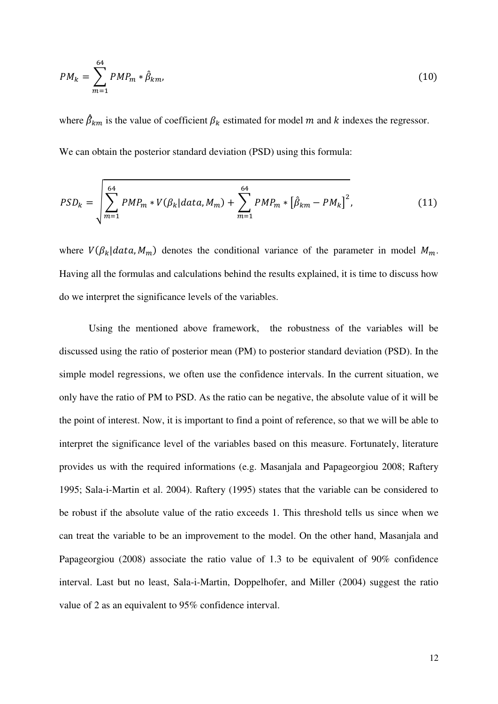$$
PM_k = \sum_{m=1}^{64} PMP_m * \hat{\beta}_{km},
$$
\n(10)

where  $\beta_{km}$  is the value of coefficient  $\beta_k$  estimated for model m and k indexes the regressor. We can obtain the posterior standard deviation (PSD) using this formula:

$$
PSD_{k} = \sqrt{\sum_{m=1}^{64} PMP_{m} * V(\beta_{k}|data, M_{m}) + \sum_{m=1}^{64} PMP_{m} * [\hat{\beta}_{km} - PM_{k}]^{2}},
$$
\n(11)

where  $V(\beta_k|data, M_m)$  denotes the conditional variance of the parameter in model  $M_m$ . Having all the formulas and calculations behind the results explained, it is time to discuss how do we interpret the significance levels of the variables.

 Using the mentioned above framework, the robustness of the variables will be discussed using the ratio of posterior mean (PM) to posterior standard deviation (PSD). In the simple model regressions, we often use the confidence intervals. In the current situation, we only have the ratio of PM to PSD. As the ratio can be negative, the absolute value of it will be the point of interest. Now, it is important to find a point of reference, so that we will be able to interpret the significance level of the variables based on this measure. Fortunately, literature provides us with the required informations (e.g. Masanjala and Papageorgiou 2008; Raftery 1995; Sala-i-Martin et al. 2004). Raftery (1995) states that the variable can be considered to be robust if the absolute value of the ratio exceeds 1. This threshold tells us since when we can treat the variable to be an improvement to the model. On the other hand, Masanjala and Papageorgiou (2008) associate the ratio value of 1.3 to be equivalent of 90% confidence interval. Last but no least, Sala-i-Martin, Doppelhofer, and Miller (2004) suggest the ratio value of 2 as an equivalent to 95% confidence interval.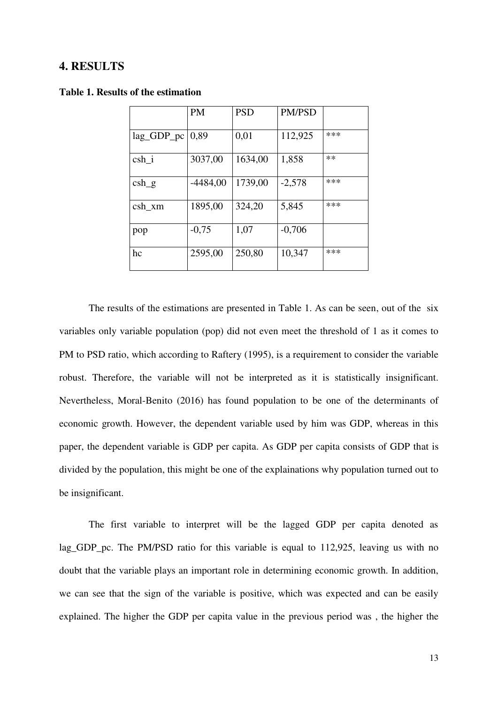#### **4. RESULTS**

|            | <b>PM</b>  | <b>PSD</b> | <b>PM/PSD</b> |     |
|------------|------------|------------|---------------|-----|
| lag_GDP_pc | 0,89       | 0,01       | 112,925       | *** |
| csh i      | 3037,00    | 1634,00    | 1,858         | **  |
| $csh_g$    | $-4484,00$ | 1739,00    | $-2,578$      | *** |
| $csh\_xm$  | 1895,00    | 324,20     | 5,845         | *** |
| pop        | $-0,75$    | 1,07       | $-0,706$      |     |
| hc         | 2595,00    | 250,80     | 10,347        | *** |

#### **Table 1. Results of the estimation**

 The results of the estimations are presented in Table 1. As can be seen, out of the six variables only variable population (pop) did not even meet the threshold of 1 as it comes to PM to PSD ratio, which according to Raftery (1995), is a requirement to consider the variable robust. Therefore, the variable will not be interpreted as it is statistically insignificant. Nevertheless, Moral-Benito (2016) has found population to be one of the determinants of economic growth. However, the dependent variable used by him was GDP, whereas in this paper, the dependent variable is GDP per capita. As GDP per capita consists of GDP that is divided by the population, this might be one of the explainations why population turned out to be insignificant.

 The first variable to interpret will be the lagged GDP per capita denoted as lag\_GDP\_pc. The PM/PSD ratio for this variable is equal to 112,925, leaving us with no doubt that the variable plays an important role in determining economic growth. In addition, we can see that the sign of the variable is positive, which was expected and can be easily explained. The higher the GDP per capita value in the previous period was , the higher the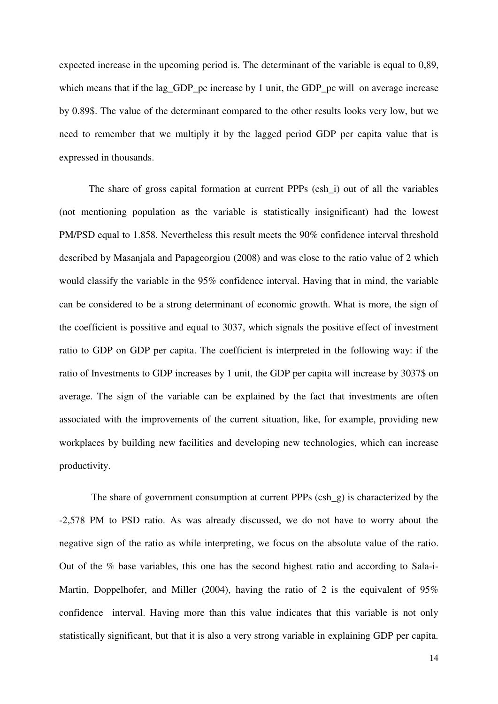expected increase in the upcoming period is. The determinant of the variable is equal to 0,89, which means that if the lag GDP pc increase by 1 unit, the GDP pc will on average increase by 0.89\$. The value of the determinant compared to the other results looks very low, but we need to remember that we multiply it by the lagged period GDP per capita value that is expressed in thousands.

 The share of gross capital formation at current PPPs (csh\_i) out of all the variables (not mentioning population as the variable is statistically insignificant) had the lowest PM/PSD equal to 1.858. Nevertheless this result meets the 90% confidence interval threshold described by Masanjala and Papageorgiou (2008) and was close to the ratio value of 2 which would classify the variable in the 95% confidence interval. Having that in mind, the variable can be considered to be a strong determinant of economic growth. What is more, the sign of the coefficient is possitive and equal to 3037, which signals the positive effect of investment ratio to GDP on GDP per capita. The coefficient is interpreted in the following way: if the ratio of Investments to GDP increases by 1 unit, the GDP per capita will increase by 3037\$ on average. The sign of the variable can be explained by the fact that investments are often associated with the improvements of the current situation, like, for example, providing new workplaces by building new facilities and developing new technologies, which can increase productivity.

 The share of government consumption at current PPPs (csh\_g) is characterized by the -2,578 PM to PSD ratio. As was already discussed, we do not have to worry about the negative sign of the ratio as while interpreting, we focus on the absolute value of the ratio. Out of the % base variables, this one has the second highest ratio and according to Sala-i-Martin, Doppelhofer, and Miller (2004), having the ratio of 2 is the equivalent of 95% confidence interval. Having more than this value indicates that this variable is not only statistically significant, but that it is also a very strong variable in explaining GDP per capita.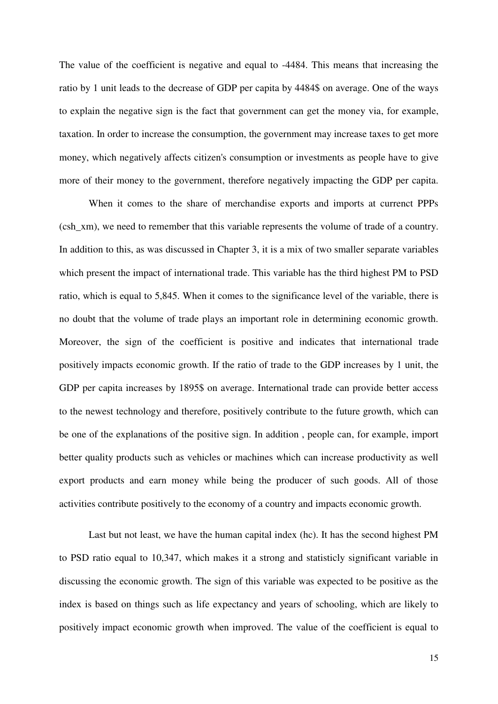The value of the coefficient is negative and equal to -4484. This means that increasing the ratio by 1 unit leads to the decrease of GDP per capita by 4484\$ on average. One of the ways to explain the negative sign is the fact that government can get the money via, for example, taxation. In order to increase the consumption, the government may increase taxes to get more money, which negatively affects citizen's consumption or investments as people have to give more of their money to the government, therefore negatively impacting the GDP per capita.

 When it comes to the share of merchandise exports and imports at currenct PPPs (csh\_xm), we need to remember that this variable represents the volume of trade of a country. In addition to this, as was discussed in Chapter 3, it is a mix of two smaller separate variables which present the impact of international trade. This variable has the third highest PM to PSD ratio, which is equal to 5,845. When it comes to the significance level of the variable, there is no doubt that the volume of trade plays an important role in determining economic growth. Moreover, the sign of the coefficient is positive and indicates that international trade positively impacts economic growth. If the ratio of trade to the GDP increases by 1 unit, the GDP per capita increases by 1895\$ on average. International trade can provide better access to the newest technology and therefore, positively contribute to the future growth, which can be one of the explanations of the positive sign. In addition , people can, for example, import better quality products such as vehicles or machines which can increase productivity as well export products and earn money while being the producer of such goods. All of those activities contribute positively to the economy of a country and impacts economic growth.

 Last but not least, we have the human capital index (hc). It has the second highest PM to PSD ratio equal to 10,347, which makes it a strong and statisticly significant variable in discussing the economic growth. The sign of this variable was expected to be positive as the index is based on things such as life expectancy and years of schooling, which are likely to positively impact economic growth when improved. The value of the coefficient is equal to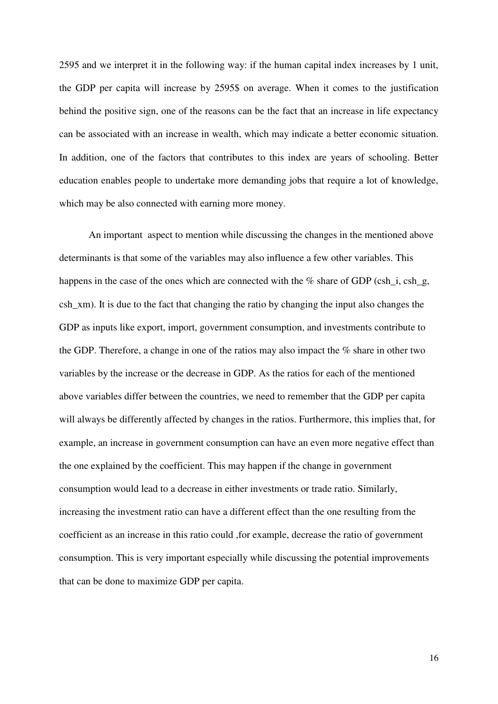2595 and we interpret it in the following way: if the human capital index increases by 1 unit, the GDP per capita will increase by 2595\$ on average. When it comes to the justification behind the positive sign, one of the reasons can be the fact that an increase in life expectancy can be associated with an increase in wealth, which may indicate a better economic situation. In addition, one of the factors that contributes to this index are years of schooling. Better education enables people to undertake more demanding jobs that require a lot of knowledge, which may be also connected with earning more money.

 An important aspect to mention while discussing the changes in the mentioned above determinants is that some of the variables may also influence a few other variables. This happens in the case of the ones which are connected with the  $\%$  share of GDP (csh i, csh g, csh\_xm). It is due to the fact that changing the ratio by changing the input also changes the GDP as inputs like export, import, government consumption, and investments contribute to the GDP. Therefore, a change in one of the ratios may also impact the % share in other two variables by the increase or the decrease in GDP. As the ratios for each of the mentioned above variables differ between the countries, we need to remember that the GDP per capita will always be differently affected by changes in the ratios. Furthermore, this implies that, for example, an increase in government consumption can have an even more negative effect than the one explained by the coefficient. This may happen if the change in government consumption would lead to a decrease in either investments or trade ratio. Similarly, increasing the investment ratio can have a different effect than the one resulting from the coefficient as an increase in this ratio could ,for example, decrease the ratio of government consumption. This is very important especially while discussing the potential improvements that can be done to maximize GDP per capita.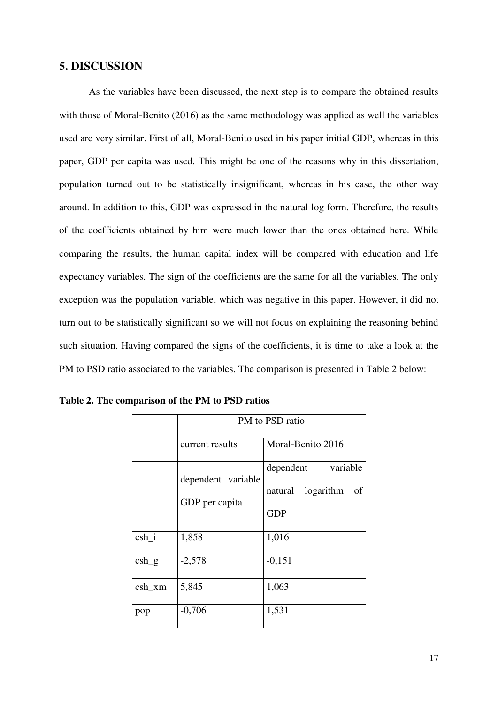#### **5. DISCUSSION**

 As the variables have been discussed, the next step is to compare the obtained results with those of Moral-Benito (2016) as the same methodology was applied as well the variables used are very similar. First of all, Moral-Benito used in his paper initial GDP, whereas in this paper, GDP per capita was used. This might be one of the reasons why in this dissertation, population turned out to be statistically insignificant, whereas in his case, the other way around. In addition to this, GDP was expressed in the natural log form. Therefore, the results of the coefficients obtained by him were much lower than the ones obtained here. While comparing the results, the human capital index will be compared with education and life expectancy variables. The sign of the coefficients are the same for all the variables. The only exception was the population variable, which was negative in this paper. However, it did not turn out to be statistically significant so we will not focus on explaining the reasoning behind such situation. Having compared the signs of the coefficients, it is time to take a look at the PM to PSD ratio associated to the variables. The comparison is presented in Table 2 below:

|           | PM to PSD ratio                      |                                                                   |  |  |  |
|-----------|--------------------------------------|-------------------------------------------------------------------|--|--|--|
|           | current results                      | Moral-Benito 2016                                                 |  |  |  |
|           | dependent variable<br>GDP per capita | variable<br>dependent<br>logarithm<br>natural<br>οf<br><b>GDP</b> |  |  |  |
| $csh_i$   | 1,858                                | 1,016                                                             |  |  |  |
| $\cosh_g$ | $-2,578$                             | $-0,151$                                                          |  |  |  |
| $csh\_xm$ | 5,845                                | 1,063                                                             |  |  |  |
| pop       | $-0,706$                             | 1,531                                                             |  |  |  |

**Table 2. The comparison of the PM to PSD ratios**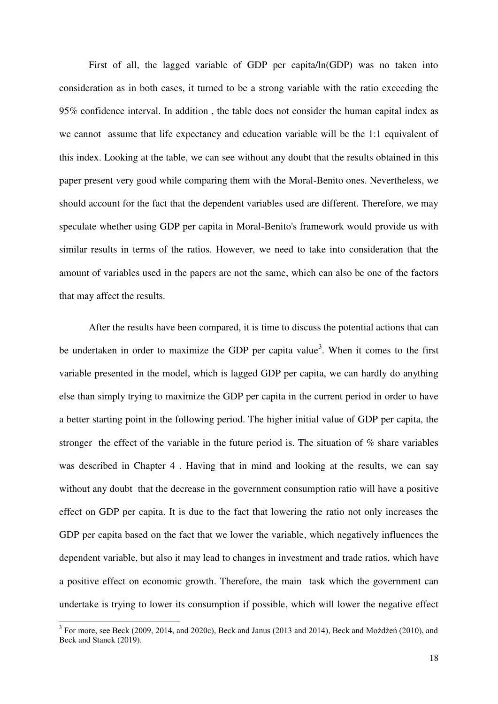First of all, the lagged variable of GDP per capita/ln(GDP) was no taken into consideration as in both cases, it turned to be a strong variable with the ratio exceeding the 95% confidence interval. In addition , the table does not consider the human capital index as we cannot assume that life expectancy and education variable will be the 1:1 equivalent of this index. Looking at the table, we can see without any doubt that the results obtained in this paper present very good while comparing them with the Moral-Benito ones. Nevertheless, we should account for the fact that the dependent variables used are different. Therefore, we may speculate whether using GDP per capita in Moral-Benito's framework would provide us with similar results in terms of the ratios. However, we need to take into consideration that the amount of variables used in the papers are not the same, which can also be one of the factors that may affect the results.

 After the results have been compared, it is time to discuss the potential actions that can be undertaken in order to maximize the GDP per capita value<sup>3</sup>. When it comes to the first variable presented in the model, which is lagged GDP per capita, we can hardly do anything else than simply trying to maximize the GDP per capita in the current period in order to have a better starting point in the following period. The higher initial value of GDP per capita, the stronger the effect of the variable in the future period is. The situation of % share variables was described in Chapter 4 . Having that in mind and looking at the results, we can say without any doubt that the decrease in the government consumption ratio will have a positive effect on GDP per capita. It is due to the fact that lowering the ratio not only increases the GDP per capita based on the fact that we lower the variable, which negatively influences the dependent variable, but also it may lead to changes in investment and trade ratios, which have a positive effect on economic growth. Therefore, the main task which the government can undertake is trying to lower its consumption if possible, which will lower the negative effect

<u>.</u>

 $3$  For more, see Beck (2009, 2014, and 2020c), Beck and Janus (2013 and 2014), Beck and Możdżeń (2010), and Beck and Stanek (2019).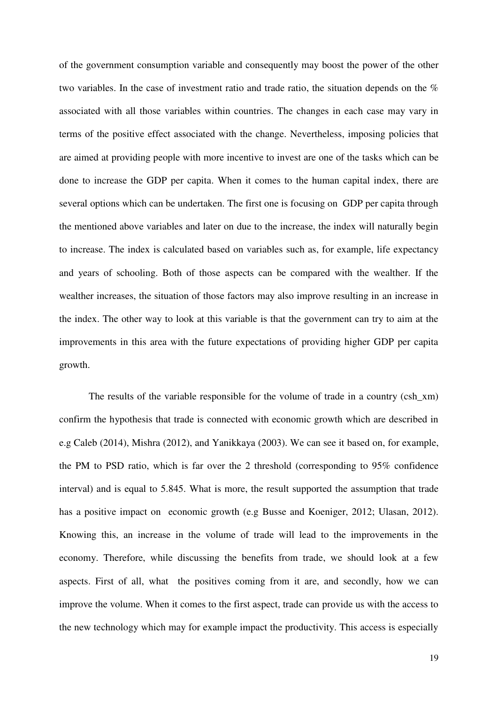of the government consumption variable and consequently may boost the power of the other two variables. In the case of investment ratio and trade ratio, the situation depends on the % associated with all those variables within countries. The changes in each case may vary in terms of the positive effect associated with the change. Nevertheless, imposing policies that are aimed at providing people with more incentive to invest are one of the tasks which can be done to increase the GDP per capita. When it comes to the human capital index, there are several options which can be undertaken. The first one is focusing on GDP per capita through the mentioned above variables and later on due to the increase, the index will naturally begin to increase. The index is calculated based on variables such as, for example, life expectancy and years of schooling. Both of those aspects can be compared with the wealther. If the wealther increases, the situation of those factors may also improve resulting in an increase in the index. The other way to look at this variable is that the government can try to aim at the improvements in this area with the future expectations of providing higher GDP per capita growth.

The results of the variable responsible for the volume of trade in a country (csh xm) confirm the hypothesis that trade is connected with economic growth which are described in e.g Caleb (2014), Mishra (2012), and Yanikkaya (2003). We can see it based on, for example, the PM to PSD ratio, which is far over the 2 threshold (corresponding to 95% confidence interval) and is equal to 5.845. What is more, the result supported the assumption that trade has a positive impact on economic growth (e.g Busse and Koeniger, 2012; Ulasan, 2012). Knowing this, an increase in the volume of trade will lead to the improvements in the economy. Therefore, while discussing the benefits from trade, we should look at a few aspects. First of all, what the positives coming from it are, and secondly, how we can improve the volume. When it comes to the first aspect, trade can provide us with the access to the new technology which may for example impact the productivity. This access is especially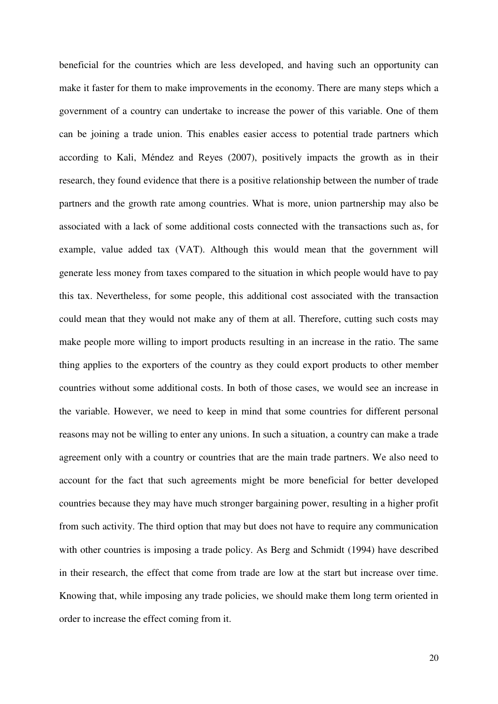beneficial for the countries which are less developed, and having such an opportunity can make it faster for them to make improvements in the economy. There are many steps which a government of a country can undertake to increase the power of this variable. One of them can be joining a trade union. This enables easier access to potential trade partners which according to Kali, Méndez and Reyes (2007), positively impacts the growth as in their research, they found evidence that there is a positive relationship between the number of trade partners and the growth rate among countries. What is more, union partnership may also be associated with a lack of some additional costs connected with the transactions such as, for example, value added tax (VAT). Although this would mean that the government will generate less money from taxes compared to the situation in which people would have to pay this tax. Nevertheless, for some people, this additional cost associated with the transaction could mean that they would not make any of them at all. Therefore, cutting such costs may make people more willing to import products resulting in an increase in the ratio. The same thing applies to the exporters of the country as they could export products to other member countries without some additional costs. In both of those cases, we would see an increase in the variable. However, we need to keep in mind that some countries for different personal reasons may not be willing to enter any unions. In such a situation, a country can make a trade agreement only with a country or countries that are the main trade partners. We also need to account for the fact that such agreements might be more beneficial for better developed countries because they may have much stronger bargaining power, resulting in a higher profit from such activity. The third option that may but does not have to require any communication with other countries is imposing a trade policy. As Berg and Schmidt (1994) have described in their research, the effect that come from trade are low at the start but increase over time. Knowing that, while imposing any trade policies, we should make them long term oriented in order to increase the effect coming from it.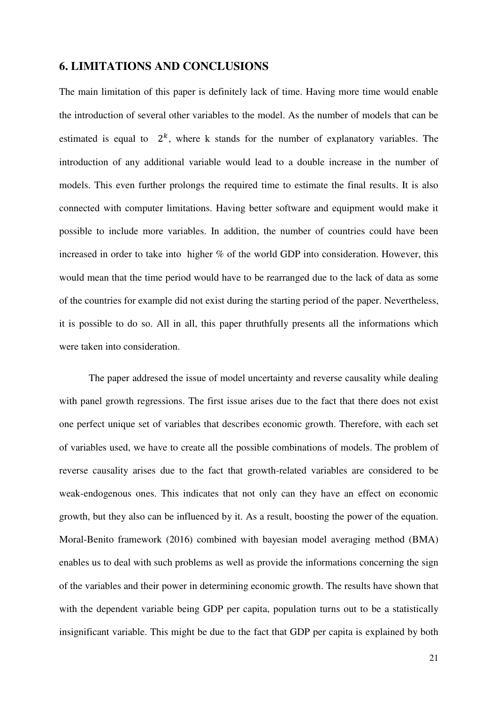#### **6. LIMITATIONS AND CONCLUSIONS**

The main limitation of this paper is definitely lack of time. Having more time would enable the introduction of several other variables to the model. As the number of models that can be estimated is equal to  $2<sup>k</sup>$ , where k stands for the number of explanatory variables. The introduction of any additional variable would lead to a double increase in the number of models. This even further prolongs the required time to estimate the final results. It is also connected with computer limitations. Having better software and equipment would make it possible to include more variables. In addition, the number of countries could have been increased in order to take into higher % of the world GDP into consideration. However, this would mean that the time period would have to be rearranged due to the lack of data as some of the countries for example did not exist during the starting period of the paper. Nevertheless, it is possible to do so. All in all, this paper thruthfully presents all the informations which were taken into consideration.

The paper addresed the issue of model uncertainty and reverse causality while dealing with panel growth regressions. The first issue arises due to the fact that there does not exist one perfect unique set of variables that describes economic growth. Therefore, with each set of variables used, we have to create all the possible combinations of models. The problem of reverse causality arises due to the fact that growth-related variables are considered to be weak-endogenous ones. This indicates that not only can they have an effect on economic growth, but they also can be influenced by it. As a result, boosting the power of the equation. Moral-Benito framework (2016) combined with bayesian model averaging method (BMA) enables us to deal with such problems as well as provide the informations concerning the sign of the variables and their power in determining economic growth. The results have shown that with the dependent variable being GDP per capita, population turns out to be a statistically insignificant variable. This might be due to the fact that GDP per capita is explained by both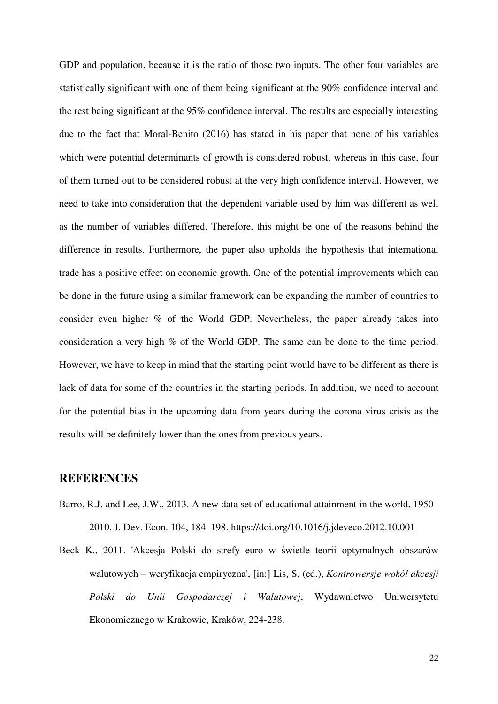GDP and population, because it is the ratio of those two inputs. The other four variables are statistically significant with one of them being significant at the 90% confidence interval and the rest being significant at the 95% confidence interval. The results are especially interesting due to the fact that Moral-Benito (2016) has stated in his paper that none of his variables which were potential determinants of growth is considered robust, whereas in this case, four of them turned out to be considered robust at the very high confidence interval. However, we need to take into consideration that the dependent variable used by him was different as well as the number of variables differed. Therefore, this might be one of the reasons behind the difference in results. Furthermore, the paper also upholds the hypothesis that international trade has a positive effect on economic growth. One of the potential improvements which can be done in the future using a similar framework can be expanding the number of countries to consider even higher % of the World GDP. Nevertheless, the paper already takes into consideration a very high % of the World GDP. The same can be done to the time period. However, we have to keep in mind that the starting point would have to be different as there is lack of data for some of the countries in the starting periods. In addition, we need to account for the potential bias in the upcoming data from years during the corona virus crisis as the results will be definitely lower than the ones from previous years.

#### **REFERENCES**

- Barro, R.J. and Lee, J.W., 2013. A new data set of educational attainment in the world, 1950– 2010. J. Dev. Econ. 104, 184–198. https://doi.org/10.1016/j.jdeveco.2012.10.001
- Beck K., 2011. 'Akcesja Polski do strefy euro w świetle teorii optymalnych obszarów walutowych – weryfikacja empiryczna', [in:] Lis, S, (ed.), *Kontrowersje wokół akcesji Polski do Unii Gospodarczej i Walutowej*, Wydawnictwo Uniwersytetu Ekonomicznego w Krakowie, Kraków, 224-238.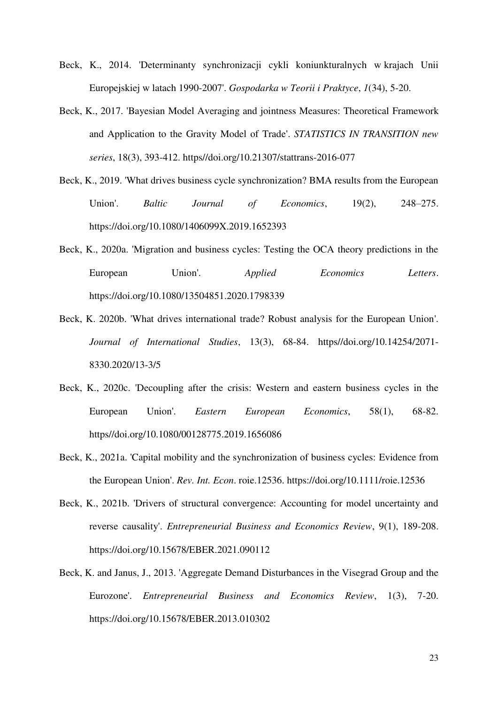- Beck, K., 2014. 'Determinanty synchronizacji cykli koniunkturalnych w krajach Unii Europejskiej w latach 1990-2007'. *Gospodarka w Teorii i Praktyce*, *1*(34), 5-20.
- Beck, K., 2017. 'Bayesian Model Averaging and jointness Measures: Theoretical Framework and Application to the Gravity Model of Trade'. *STATISTICS IN TRANSITION new series*, 18(3), 393-412. https//doi.org/10.21307/stattrans-2016-077
- Beck, K., 2019. 'What drives business cycle synchronization? BMA results from the European Union'. *Baltic Journal of Economics*, 19(2), 248–275. https://doi.org/10.1080/1406099X.2019.1652393
- Beck, K., 2020a. 'Migration and business cycles: Testing the OCA theory predictions in the European Union'. *Applied Economics Letters*. https://doi.org/10.1080/13504851.2020.1798339
- Beck, K. 2020b. 'What drives international trade? Robust analysis for the European Union'. *Journal of International Studies*, 13(3), 68-84. https//doi.org/10.14254/2071- 8330.2020/13-3/5
- Beck, K., 2020c. 'Decoupling after the crisis: Western and eastern business cycles in the European Union'. *Eastern European Economics*, 58(1), 68-82. https//doi.org/10.1080/00128775.2019.1656086
- Beck, K., 2021a. 'Capital mobility and the synchronization of business cycles: Evidence from the European Union'. *Rev. Int. Econ*. roie.12536. https://doi.org/10.1111/roie.12536
- Beck, K., 2021b. 'Drivers of structural convergence: Accounting for model uncertainty and reverse causality'. *Entrepreneurial Business and Economics Review*, 9(1), 189-208. https://doi.org/10.15678/EBER.2021.090112
- Beck, K. and Janus, J., 2013. 'Aggregate Demand Disturbances in the Visegrad Group and the Eurozone'. *Entrepreneurial Business and Economics Review*, 1(3), 7-20. https://doi.org/10.15678/EBER.2013.010302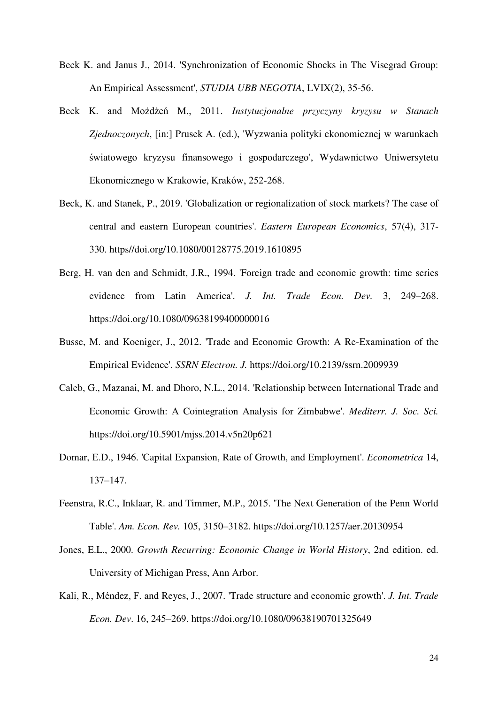- Beck K. and Janus J., 2014. 'Synchronization of Economic Shocks in The Visegrad Group: An Empirical Assessment', *STUDIA UBB NEGOTIA*, LVIX(2), 35-56.
- Beck K. and Możdżeń M., 2011. *Instytucjonalne przyczyny kryzysu w Stanach Zjednoczonych*, [in:] Prusek A. (ed.), 'Wyzwania polityki ekonomicznej w warunkach światowego kryzysu finansowego i gospodarczego', Wydawnictwo Uniwersytetu Ekonomicznego w Krakowie, Kraków, 252-268.
- Beck, K. and Stanek, P., 2019. 'Globalization or regionalization of stock markets? The case of central and eastern European countries'. *Eastern European Economics*, 57(4), 317- 330. https//doi.org/10.1080/00128775.2019.1610895
- Berg, H. van den and Schmidt, J.R., 1994. 'Foreign trade and economic growth: time series evidence from Latin America'. *J. Int. Trade Econ. Dev.* 3, 249–268. https://doi.org/10.1080/09638199400000016
- Busse, M. and Koeniger, J., 2012. 'Trade and Economic Growth: A Re-Examination of the Empirical Evidence'. *SSRN Electron. J.* https://doi.org/10.2139/ssrn.2009939
- Caleb, G., Mazanai, M. and Dhoro, N.L., 2014. 'Relationship between International Trade and Economic Growth: A Cointegration Analysis for Zimbabwe'. *Mediterr. J. Soc. Sci.* https://doi.org/10.5901/mjss.2014.v5n20p621
- Domar, E.D., 1946. 'Capital Expansion, Rate of Growth, and Employment'. *Econometrica* 14, 137–147.
- Feenstra, R.C., Inklaar, R. and Timmer, M.P., 2015. 'The Next Generation of the Penn World Table'. *Am. Econ. Rev.* 105, 3150–3182. https://doi.org/10.1257/aer.20130954
- Jones, E.L., 2000. *Growth Recurring: Economic Change in World History*, 2nd edition. ed. University of Michigan Press, Ann Arbor.
- Kali, R., Méndez, F. and Reyes, J., 2007. 'Trade structure and economic growth'. *J. Int. Trade Econ. Dev*. 16, 245–269. https://doi.org/10.1080/09638190701325649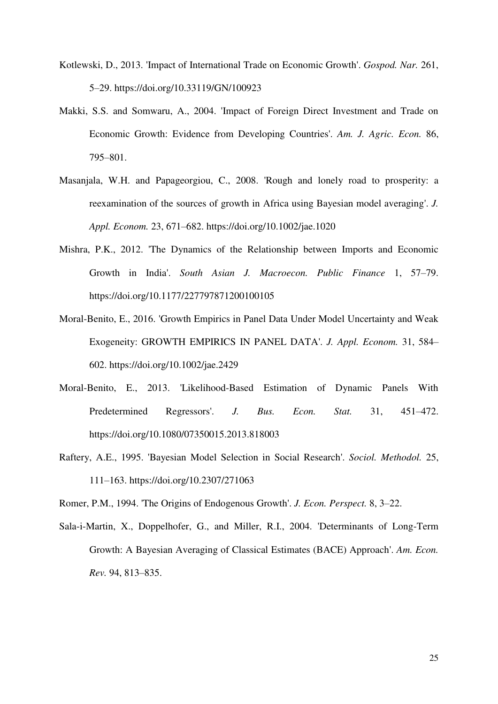- Kotlewski, D., 2013. 'Impact of International Trade on Economic Growth'. *Gospod. Nar.* 261, 5–29. https://doi.org/10.33119/GN/100923
- Makki, S.S. and Somwaru, A., 2004. 'Impact of Foreign Direct Investment and Trade on Economic Growth: Evidence from Developing Countries'. *Am. J. Agric. Econ.* 86, 795–801.
- Masanjala, W.H. and Papageorgiou, C., 2008. 'Rough and lonely road to prosperity: a reexamination of the sources of growth in Africa using Bayesian model averaging'. *J. Appl. Econom.* 23, 671–682. https://doi.org/10.1002/jae.1020
- Mishra, P.K., 2012. 'The Dynamics of the Relationship between Imports and Economic Growth in India'. *South Asian J. Macroecon. Public Finance* 1, 57–79. https://doi.org/10.1177/227797871200100105
- Moral-Benito, E., 2016. 'Growth Empirics in Panel Data Under Model Uncertainty and Weak Exogeneity: GROWTH EMPIRICS IN PANEL DATA'. *J. Appl. Econom.* 31, 584– 602. https://doi.org/10.1002/jae.2429
- Moral-Benito, E., 2013. 'Likelihood-Based Estimation of Dynamic Panels With Predetermined Regressors'. *J. Bus. Econ. Stat.* 31, 451–472. https://doi.org/10.1080/07350015.2013.818003
- Raftery, A.E., 1995. 'Bayesian Model Selection in Social Research'. *Sociol. Methodol.* 25, 111–163. https://doi.org/10.2307/271063

Romer, P.M., 1994. 'The Origins of Endogenous Growth'. *J. Econ. Perspect.* 8, 3–22.

Sala-i-Martin, X., Doppelhofer, G., and Miller, R.I., 2004. 'Determinants of Long-Term Growth: A Bayesian Averaging of Classical Estimates (BACE) Approach'. *Am. Econ. Rev.* 94, 813–835.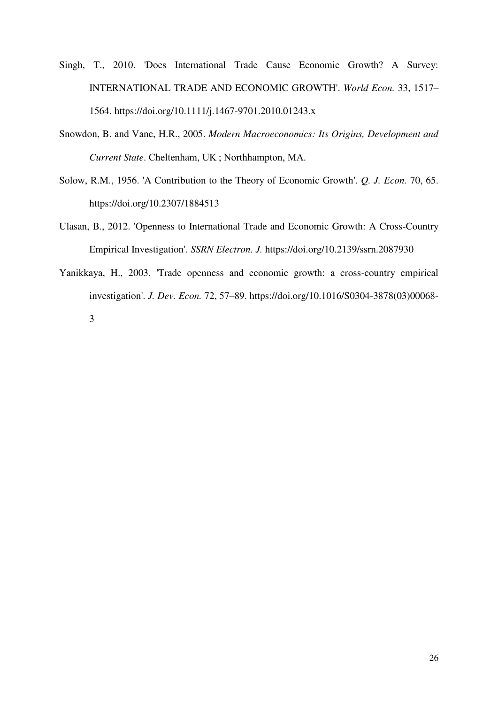- Singh, T., 2010. 'Does International Trade Cause Economic Growth? A Survey: INTERNATIONAL TRADE AND ECONOMIC GROWTH'. *World Econ.* 33, 1517– 1564. https://doi.org/10.1111/j.1467-9701.2010.01243.x
- Snowdon, B. and Vane, H.R., 2005. *Modern Macroeconomics: Its Origins, Development and Current State*. Cheltenham, UK ; Northhampton, MA.
- Solow, R.M., 1956. 'A Contribution to the Theory of Economic Growth'. *Q. J. Econ.* 70, 65. https://doi.org/10.2307/1884513
- Ulasan, B., 2012. 'Openness to International Trade and Economic Growth: A Cross-Country Empirical Investigation'. *SSRN Electron. J.* https://doi.org/10.2139/ssrn.2087930
- Yanikkaya, H., 2003. 'Trade openness and economic growth: a cross-country empirical investigation'. *J. Dev. Econ.* 72, 57–89. https://doi.org/10.1016/S0304-3878(03)00068-

3